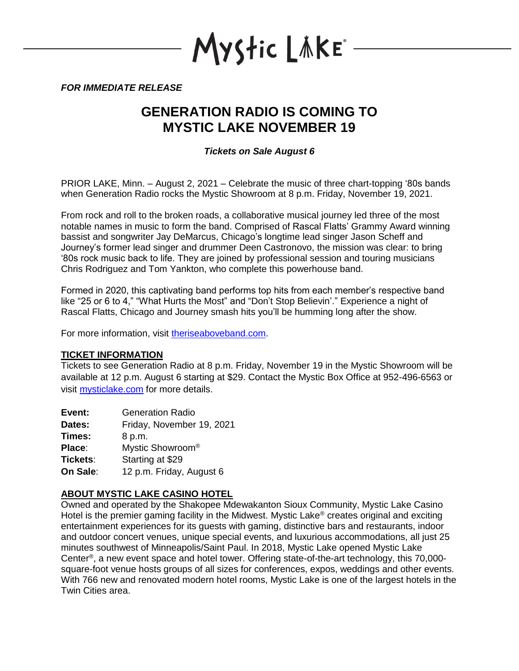

*FOR IMMEDIATE RELEASE*

## **GENERATION RADIO IS COMING TO MYSTIC LAKE NOVEMBER 19**

*Tickets on Sale August 6*

PRIOR LAKE, Minn. – August 2, 2021 – Celebrate the music of three chart-topping '80s bands when Generation Radio rocks the Mystic Showroom at 8 p.m. Friday, November 19, 2021.

From rock and roll to the broken roads, a collaborative musical journey led three of the most notable names in music to form the band. Comprised of Rascal Flatts' Grammy Award winning bassist and songwriter Jay DeMarcus, Chicago's longtime lead singer Jason Scheff and Journey's former lead singer and drummer Deen Castronovo, the mission was clear: to bring '80s rock music back to life. They are joined by professional session and touring musicians Chris Rodriguez and Tom Yankton, who complete this powerhouse band.

Formed in 2020, this captivating band performs top hits from each member's respective band like "25 or 6 to 4," "What Hurts the Most" and "Don't Stop Believin'." Experience a night of Rascal Flatts, Chicago and Journey smash hits you'll be humming long after the show.

For more information, visit [theriseaboveband.com.](https://www.theriseaboveband.com/)

## **TICKET INFORMATION**

Tickets to see Generation Radio at 8 p.m. Friday, November 19 in the Mystic Showroom will be available at 12 p.m. August 6 starting at \$29. Contact the Mystic Box Office at 952-496-6563 or visit [mysticlake.com](http://www.mysticlake.com/) for more details.

| Event:   | <b>Generation Radio</b>      |
|----------|------------------------------|
| Dates:   | Friday, November 19, 2021    |
| Times:   | 8 p.m.                       |
| Place:   | Mystic Showroom <sup>®</sup> |
| Tickets: | Starting at \$29             |
| On Sale: | 12 p.m. Friday, August 6     |

## **ABOUT MYSTIC LAKE CASINO HOTEL**

Owned and operated by the Shakopee Mdewakanton Sioux Community, Mystic Lake Casino Hotel is the premier gaming facility in the Midwest. Mystic Lake<sup>®</sup> creates original and exciting entertainment experiences for its guests with gaming, distinctive bars and restaurants, indoor and outdoor concert venues, unique special events, and luxurious accommodations, all just 25 minutes southwest of Minneapolis/Saint Paul. In 2018, Mystic Lake opened Mystic Lake Center® , a new event space and hotel tower. Offering state-of-the-art technology, this 70,000 square-foot venue hosts groups of all sizes for conferences, expos, weddings and other events. With 766 new and renovated modern hotel rooms, Mystic Lake is one of the largest hotels in the Twin Cities area.